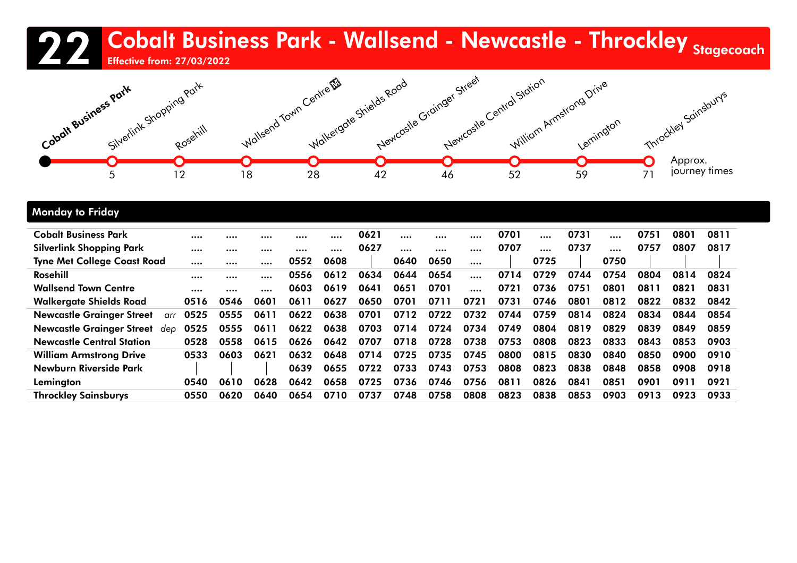### 22 Cobalt Business Park - Wallsend - Newcastle - Throckley <sub>Stagecoach</sub><br>22 April 1996





### Monday to Friday

| <b>Cobalt Business Park</b>             |      |      |      |      |      | 0621 |      |      |          | 0701 | $\cdots$ | 0731 | $\cdots$ | 0751 | 0801 | 0811 |
|-----------------------------------------|------|------|------|------|------|------|------|------|----------|------|----------|------|----------|------|------|------|
| Silverlink Shopping Park                |      |      |      |      |      | 0627 |      |      |          | 0707 | $\cdots$ | 0737 |          | 0757 | 0807 | 0817 |
| <b>Tyne Met College Coast Road</b>      |      |      |      | 0552 | 0608 |      | 0640 | 0650 | $\cdots$ |      | 0725     |      | 0750     |      |      |      |
| Rosehill                                |      |      |      | 0556 | 0612 | 0634 | 0644 | 0654 |          | 0714 | 0729     | 0744 | 0754     | 0804 | 0814 | 0824 |
| <b>Wallsend Town Centre</b>             |      |      |      | 0603 | 0619 | 0641 | 0651 | 0701 | $\cdots$ | 0721 | 0736     | 0751 | 0801     | 0811 | 0821 | 0831 |
| <b>Walkergate Shields Road</b>          | 0516 | 0546 | 0601 | 0611 | 0627 | 0650 | 0701 | 0711 | 0721     | 0731 | 0746     | 0801 | 0812     | 0822 | 0832 | 0842 |
| <b>Newcastle Grainger Street</b><br>arr | 0525 | 0555 | 0611 | 0622 | 0638 | 0701 | 0712 | 0722 | 0732     | 0744 | 0759     | 0814 | 0824     | 0834 | 0844 | 0854 |
| <b>Newcastle Grainger Street</b><br>dep | 0525 | 0555 | 0611 | 0622 | 0638 | 0703 | 0714 | 0724 | 0734     | 0749 | 0804     | 0819 | 0829     | 0839 | 0849 | 0859 |
| <b>Newcastle Central Station</b>        | 0528 | 0558 | 0615 | 0626 | 0642 | 0707 | 0718 | 0728 | 0738     | 0753 | 0808     | 0823 | 0833     | 0843 | 0853 | 0903 |
| <b>William Armstrong Drive</b>          | 0533 | 0603 | 0621 | 0632 | 0648 | 0714 | 0725 | 0735 | 0745     | 0800 | 0815     | 0830 | 0840     | 0850 | 0900 | 0910 |
| Newburn Riverside Park                  |      |      |      | 0639 | 0655 | 0722 | 0733 | 0743 | 0753     | 0808 | 0823     | 0838 | 0848     | 0858 | 0908 | 0918 |
| Lemington                               | 0540 | 0610 | 0628 | 0642 | 0658 | 0725 | 0736 | 0746 | 0756     | 0811 | 0826     | 0841 | 0851     | 0901 | 0911 | 0921 |
| <b>Throckley Sainsburys</b>             | 0550 | 0620 | 0640 | 0654 | 0710 | 0737 | 0748 | 0758 | 0808     | 0823 | 0838     | 0853 | 0903     | 0913 | 0923 | 0933 |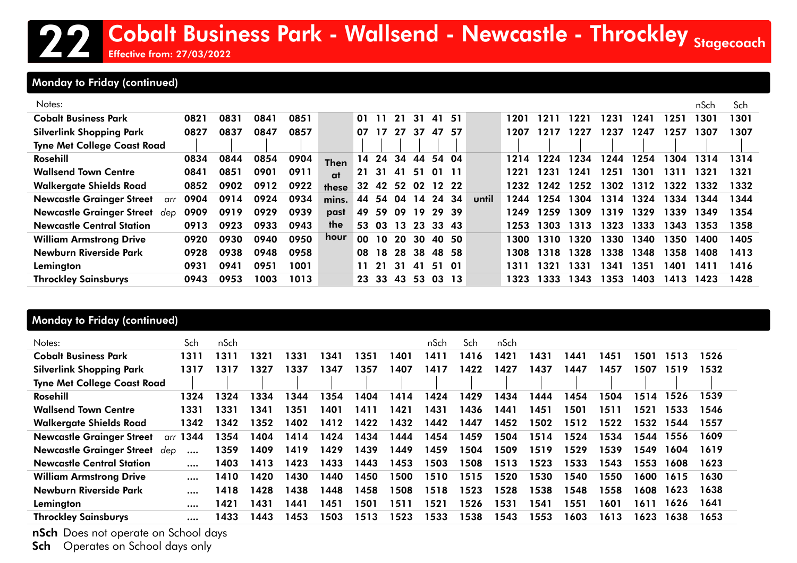### Monday to Friday (continued)

| Notes:                                  |      |      |      |      |             |     |                   |    |       |       |     |       |       |      |      |      |      |      | nSch | Sch  |
|-----------------------------------------|------|------|------|------|-------------|-----|-------------------|----|-------|-------|-----|-------|-------|------|------|------|------|------|------|------|
| <b>Cobalt Business Park</b>             | 0821 | 0831 | 0841 | 0851 |             | 01. | 11                | 21 | 31    | 41    | -51 |       | 1201  | 121  | 1221 | 1231 | 1241 | 1251 | 1301 | 1301 |
| <b>Silverlink Shopping Park</b>         | 0827 | 0837 | 0847 | 0857 |             | 07  | 17                | 27 | 37    | 47    | -57 |       | 1207  | 1217 | 1227 | 1237 | 1247 | 1257 | 1307 | 1307 |
| <b>Tyne Met College Coast Road</b>      |      |      |      |      |             |     |                   |    |       |       |     |       |       |      |      |      |      |      |      |      |
| Rosehill                                | 0834 | 0844 | 0854 | 0904 | <b>Then</b> | 14  | 24                | 34 | 44    | 54 04 |     |       | 1214  | 1224 | 1234 | 1244 | 1254 | 1304 | 1314 | 1314 |
| <b>Wallsend Town Centre</b>             | 0841 | 0851 | 0901 | 0911 | at          |     | 21 31 41 51       |    |       | 01 11 |     |       | 1221  | 1231 | 1241 | 1251 | 1301 | 1311 | 1321 | 1321 |
| <b>Walkergate Shields Road</b>          | 0852 | 0902 | 0912 | 0922 | these       |     | 32 42 52 02 12 22 |    |       |       |     |       | 1232  | 1242 | 1252 | 1302 | 1312 | 1322 | 1332 | 1332 |
| <b>Newcastle Grainger Street</b><br>arr | 0904 | 0914 | 0924 | 0934 | mins.       |     | 44 54 04 14       |    |       | 24 34 |     | until | 1244  | 1254 | 1304 | 1314 | 1324 | 1334 | 1344 | 1344 |
| Newcastle Grainger Street dep           | 0909 | 0919 | 0929 | 0939 | past        | 49  | 59                |    | 09 19 | 29 39 |     |       | 1249  | 1259 | 309  | 1319 | 1329 | 1339 | 1349 | 1354 |
| <b>Newcastle Central Station</b>        | 0913 | 0923 | 0933 | 0943 | the         |     | 53 03 13 23       |    |       | 33 43 |     |       | 1253  | 1303 | 1313 | 1323 | 1333 | 1343 | 1353 | 1358 |
| <b>William Armstrong Drive</b>          | 0920 | 0930 | 0940 | 0950 | hour        | 00  | <b>10</b>         | 20 | 30    | 40 50 |     |       | 1300  | 1310 | 320  | 1330 | 1340 | 1350 | 1400 | 1405 |
| Newburn Riverside Park                  | 0928 | 0938 | 0948 | 0958 |             | 08  | 18                |    | 28 38 | 4858  |     |       | 1308  | 1318 | 1328 | 1338 | 1348 | 1358 | 1408 | 1413 |
| Lemington                               | 0931 | 0941 | 0951 | 1001 |             | 11  | -21               | 31 | -41   | 51 01 |     |       | 1311  | 1321 | 1331 | 1341 | 1351 | 1401 | 1411 | 1416 |
| <b>Throckley Sainsburys</b>             | 0943 | 0953 | 1003 | 1013 |             |     | 23 33             | 43 | -53   | 03 13 |     |       | 1323. | 1333 | 1343 | 1353 | 1403 | 1413 | 1423 | 1428 |

### Monday to Friday (continued)

| Notes:                             | Sch         | nSch |      |      |      |      |      | nSch | Sch  | nSch |      |      |      |      |      |      |
|------------------------------------|-------------|------|------|------|------|------|------|------|------|------|------|------|------|------|------|------|
| Cobalt Business Park               | 1311        | 1311 | 321  | 1331 | 1341 | 351  | 1401 | 1411 | 1416 | 1421 | 1431 | 1441 | 1451 | 1501 | 1513 | 1526 |
| <b>Silverlink Shopping Park</b>    | 1317        | 1317 | 327  | 1337 | 1347 | 357  | 1407 | 1417 | 1422 | 1427 | 1437 | 1447 | 1457 | 1507 | 1519 | 1532 |
| <b>Tyne Met College Coast Road</b> |             |      |      |      |      |      |      |      |      |      |      |      |      |      |      |      |
| Rosehill                           | 1324        | 1324 | 334  | 1344 | 1354 | 1404 | 1414 | 1424 | 1429 | 1434 | 1444 | 1454 | 1504 | 1514 | 1526 | 1539 |
| <b>Wallsend Town Centre</b>        | 1331        | 1331 | 341  | 1351 | 1401 | 1411 | 1421 | 1431 | 1436 | 1441 | 1451 | 1501 | 1511 | 1521 | 1533 | 1546 |
| <b>Walkergate Shields Road</b>     | 1342        | 1342 | 1352 | 1402 | 1412 | 1422 | 1432 | 1442 | 1447 | 1452 | 1502 | 1512 | 1522 | 1532 | 1544 | 1557 |
| <b>Newcastle Grainger Street</b>   | 1344<br>arr | 1354 | 1404 | 1414 | 1424 | 1434 | 1444 | 1454 | 1459 | 1504 | 1514 | 1524 | 1534 | 1544 | 1556 | 1609 |
| Newcastle Grainger Street dep      | $\cdots$    | 1359 | 1409 | 1419 | 1429 | 1439 | 1449 | 1459 | 1504 | 1509 | 1519 | 1529 | 1539 | 1549 | 1604 | 1619 |
| <b>Newcastle Central Station</b>   |             | 1403 | 1413 | 1423 | 1433 | 1443 | 1453 | 1503 | 1508 | 1513 | 1523 | 1533 | 1543 | 1553 | 1608 | 1623 |
| <b>William Armstrong Drive</b>     | $\cdots$    | 1410 | 1420 | 1430 | 1440 | 1450 | 1500 | 1510 | 1515 | 1520 | 1530 | 1540 | 1550 | 1600 | 1615 | 1630 |
| Newburn Riverside Park             |             | 1418 | 1428 | 1438 | 1448 | 1458 | 1508 | 1518 | 1523 | 1528 | 1538 | 1548 | 1558 | 1608 | 1623 | 1638 |
| Lemington                          |             | 1421 | 1431 | 1441 | 1451 | 501  | 1511 | 1521 | 1526 | 1531 | 1541 | 1551 | 1601 | 1611 | 1626 | 1641 |
| <b>Throckley Sainsburys</b>        |             | 1433 | 1443 | 1453 | 1503 | 1513 | 1523 | 1533 | 1538 | 1543 | 1553 | 1603 | 1613 | 1623 | 1638 | 1653 |

nSch Does not operate on School days

Sch Operates on School days only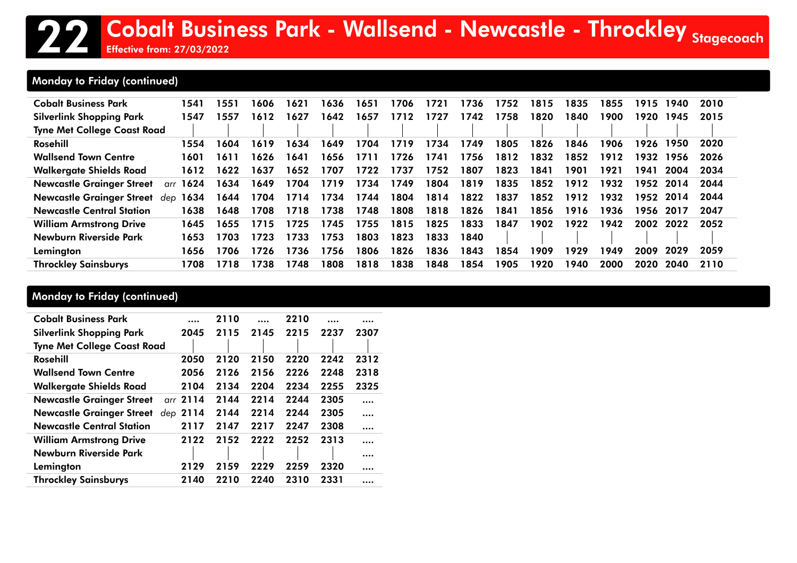### Monday to Friday (continued)

| <b>Cobalt Business Park</b>        | 1541            | 1551 | 606   | 1621 | 1636 | 1651 | 1706 | 1721 | 1736 | 1752 | 1815 | 1835 | 1855 | 1915 | 1940 | 2010 |
|------------------------------------|-----------------|------|-------|------|------|------|------|------|------|------|------|------|------|------|------|------|
| <b>Silverlink Shopping Park</b>    | 1547            | 1557 | 612   | 1627 | 1642 | 1657 | 1712 | 1727 | 1742 | 1758 | 1820 | 1840 | 1900 | 1920 | 1945 | 2015 |
| <b>Tyne Met College Coast Road</b> |                 |      |       |      |      |      |      |      |      |      |      |      |      |      |      |      |
| Rosehill                           | 1554            | 1604 | 1619  | 1634 | 1649 | 1704 | 1719 | 1734 | 1749 | 1805 | 1826 | 1846 | 1906 | 1926 | 1950 | 2020 |
| <b>Wallsend Town Centre</b>        | 1601            | 1611 | 626 ا | 1641 | 1656 | 1711 | 1726 | 1741 | 1756 | 1812 | 1832 | 1852 | 1912 | 1932 | 1956 | 2026 |
| Walkergate Shields Road            | 1612            | 1622 | 1637  | 1652 | 1707 | 1722 | 1737 | 1752 | 1807 | 1823 | 1841 | 1901 | 1921 | 1941 | 2004 | 2034 |
| <b>Newcastle Grainger Street</b>   | arr <b>1624</b> | 1634 | 1649  | 1704 | 1719 | 1734 | 1749 | 1804 | 1819 | 1835 | 1852 | 1912 | 1932 | 1952 | 2014 | 2044 |
| <b>Newcastle Grainger Street</b>   | dep <b>1634</b> | 1644 | 1704  | 1714 | 1734 | 1744 | 1804 | 1814 | 1822 | 1837 | 1852 | 1912 | 1932 | 1952 | 2014 | 2044 |
| <b>Newcastle Central Station</b>   | 1638            | 1648 | 1708  | 1718 | 1738 | 1748 | 1808 | 1818 | 1826 | 1841 | 1856 | 1916 | 1936 | 1956 | 2017 | 2047 |
| <b>William Armstrong Drive</b>     | 1645            | 1655 | 1715  | 1725 | 1745 | 1755 | 1815 | 1825 | 1833 | 1847 | 1902 | 1922 | 1942 | 2002 | 2022 | 2052 |
| Newburn Riverside Park             | 1653            | 1703 | 1723  | 1733 | 1753 | 1803 | 1823 | 1833 | 1840 |      |      |      |      |      |      |      |
| Lemington                          | 1656            | 1706 | 1726  | 1736 | 1756 | 1806 | 1826 | 1836 | 1843 | 1854 | 1909 | 1929 | 1949 | 2009 | 2029 | 2059 |
| <b>Throckley Sainsburys</b>        | 1708            | 1718 | 1738  | 1748 | 1808 | 1818 | 1838 | 1848 | 1854 | 1905 | 1920 | 1940 | 2000 | 2020 | 2040 | 2110 |

### Monday to Friday (continued)

| <b>Cobalt Business Park</b>        |            | 2110 |      | 2210 |      |      |
|------------------------------------|------------|------|------|------|------|------|
| <b>Silverlink Shopping Park</b>    | 2045       | 2115 | 2145 | 2215 | 2237 | 2307 |
| <b>Tyne Met College Coast Road</b> |            |      |      |      |      |      |
| Rosehill                           | 2050       | 2120 | 2150 | 2220 | 2242 | 2312 |
| <b>Wallsend Town Centre</b>        | 2056       | 2126 | 2156 | 2226 | 2248 | 2318 |
| <b>Walkergate Shields Road</b>     | 2104       | 2134 | 2204 | 2234 | 2255 | 2325 |
| <b>Newcastle Grainger Street</b>   | arr 2114   | 2144 | 2214 | 2244 | 2305 |      |
| <b>Newcastle Grainger Street</b>   | dep $2114$ | 2144 | 2214 | 2244 | 2305 |      |
| <b>Newcastle Central Station</b>   | 2117       | 2147 | 2217 | 2247 | 2308 |      |
| <b>William Armstrong Drive</b>     | 2122       | 2152 | 2222 | 2252 | 2313 |      |
| Newburn Riverside Park             |            |      |      |      |      |      |
| Lemington                          | 2129       | 2159 | 2229 | 2259 | 2320 |      |
| <b>Throckley Sainsburys</b>        | 2140       | 2210 | 2240 | 2310 | 2331 |      |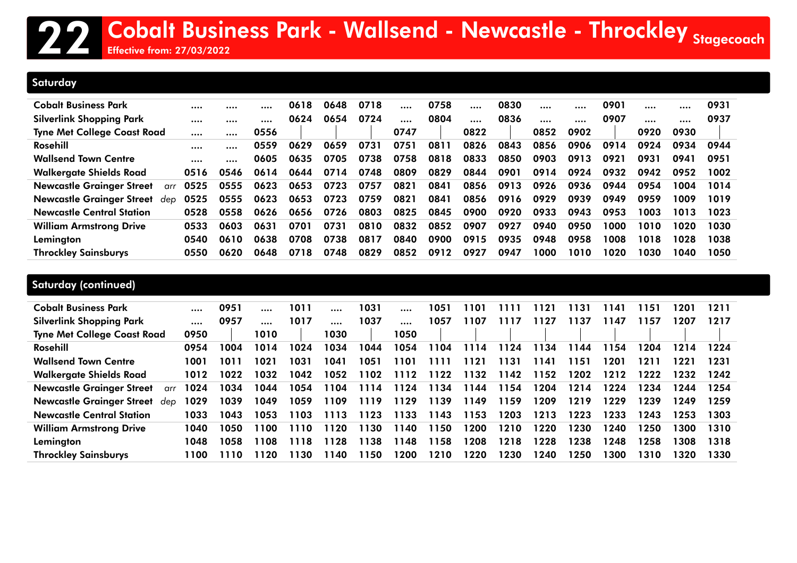### **Saturday**

| Cobalt Business Park               |      |      |      | 0618 | 0648 | 0718 |      | 0758 |      | 0830 | $\cdots$ | $\cdots$ | 0901 | $\cdots$ |      | 0931 |
|------------------------------------|------|------|------|------|------|------|------|------|------|------|----------|----------|------|----------|------|------|
| Silverlink Shopping Park           |      |      |      | 0624 | 0654 | 0724 |      | 0804 |      | 0836 | $\cdots$ |          | 0907 |          |      | 0937 |
| <b>Tyne Met College Coast Road</b> |      |      | 0556 |      |      |      | 0747 |      | 0822 |      | 0852     | 0902     |      | 0920     | 0930 |      |
| Rosehill                           |      |      | 0559 | 0629 | 0659 | 0731 | 0751 | 0811 | 0826 | 0843 | 0856     | 0906     | 0914 | 0924     | 0934 | 0944 |
| <b>Wallsend Town Centre</b>        |      |      | 0605 | 0635 | 0705 | 0738 | 0758 | 0818 | 0833 | 0850 | 0903     | 0913     | 0921 | 0931     | 0941 | 0951 |
| <b>Walkergate Shields Road</b>     | 0516 | 0546 | 0614 | 0644 | 0714 | 0748 | 0809 | 0829 | 0844 | 0901 | 0914     | 0924     | 0932 | 0942     | 0952 | 1002 |
| Newcastle Grainger Street<br>arr   | 0525 | 0555 | 0623 | 0653 | 0723 | 0757 | 0821 | 0841 | 0856 | 0913 | 0926     | 0936     | 0944 | 0954     | 1004 | 1014 |
| Newcastle Grainaer Street<br>dep   | 0525 | 0555 | 0623 | 0653 | 0723 | 0759 | 0821 | 0841 | 0856 | 0916 | 0929     | 0939     | 0949 | 0959     | 1009 | 1019 |
| <b>Newcastle Central Station</b>   | 0528 | 0558 | 0626 | 0656 | 0726 | 0803 | 0825 | 0845 | 0900 | 0920 | 0933     | 0943     | 0953 | 1003     | 1013 | 1023 |
| <b>William Armstrong Drive</b>     | 0533 | 0603 | 0631 | 0701 | 0731 | 0810 | 0832 | 0852 | 0907 | 0927 | 0940     | 0950     | 1000 | 1010     | 1020 | 1030 |
| Lemington                          | 0540 | 0610 | 0638 | 0708 | 0738 | 0817 | 0840 | 0900 | 0915 | 0935 | 0948     | 0958     | 1008 | 1018     | 1028 | 1038 |
| <b>Throckley Sainsburys</b>        | 0550 | 0620 | 0648 | 0718 | 0748 | 0829 | 0852 | 0912 | 0927 | 0947 | 1000     | 1010     | 1020 | 1030     | 1040 | 1050 |

| Cobalt Business Park                    |      | 0951 |      | 1011 |      | 1031 | $\cdots$ | 1051 | 1101 | 1111 | 1121 | 1131 | 141   | 1151 | 1201 | 1211 |
|-----------------------------------------|------|------|------|------|------|------|----------|------|------|------|------|------|-------|------|------|------|
| <b>Silverlink Shopping Park</b>         |      | 0957 |      | 1017 |      | 1037 |          | 1057 | 1107 |      | 1127 | 1137 | 147   | 1157 | 1207 | 1217 |
| <b>Tyne Met College Coast Road</b>      | 0950 |      | 1010 |      | 1030 |      | 1050     |      |      |      |      |      |       |      |      |      |
| Rosehill                                | 0954 | 1004 | 1014 | 1024 | 1034 | 1044 | 1054     | 1104 | 1114 | 1124 | 1134 | 1144 | l 154 | 1204 | 1214 | 1224 |
| <b>Wallsend Town Centre</b>             | 1001 | 1011 | 1021 | 1031 | 1041 | 1051 | 1101     | 111  | 1121 | 1131 | 1141 | 1151 | 1201  | 1211 | 1221 | 1231 |
| <b>Walkergate Shields Road</b>          | 1012 | 1022 | 1032 | 1042 | 1052 | 1102 | 1112     | 1122 | 1132 | 1142 | 1152 | 1202 | 1212  | 1222 | 1232 | 1242 |
| <b>Newcastle Grainger Street</b><br>arr | 1024 | 1034 | 1044 | 1054 | 1104 | 1114 | 1124     | 1134 | 1144 | 1154 | 1204 | 1214 | 1224  | 1234 | 1244 | 1254 |
| <b>Newcastle Grainger Street</b><br>dep | 1029 | 1039 | 1049 | 1059 | 1109 | 1119 | 1129     | 1139 | 1149 | 1159 | 1209 | 1219 | 1229  | 1239 | 1249 | 1259 |
| <b>Newcastle Central Station</b>        | 1033 | 1043 | 1053 | 1103 | 1113 | 1123 | 1133     | 1143 | 1153 | 1203 | 1213 | 1223 | 1233  | 1243 | 1253 | 1303 |
| <b>William Armstrong Drive</b>          | 1040 | 1050 | 1100 | 1110 | 1120 | 1130 | 1140     | 1150 | 1200 | 1210 | 1220 | 1230 | 1240  | 1250 | 1300 | 1310 |
| Lemington                               | 1048 | 1058 | 1108 | 1118 | 1128 | 1138 | 1148     | 1158 | 1208 | 1218 | 1228 | 1238 | 1248  | 1258 | 1308 | 1318 |
| <b>Throckley Sainsburys</b>             | 1100 | 1110 | 1120 | 1130 | 140  | 1150 | 1200     | 1210 | 1220 | 1230 | 1240 | 1250 | 1300  | 1310 | 1320 | 1330 |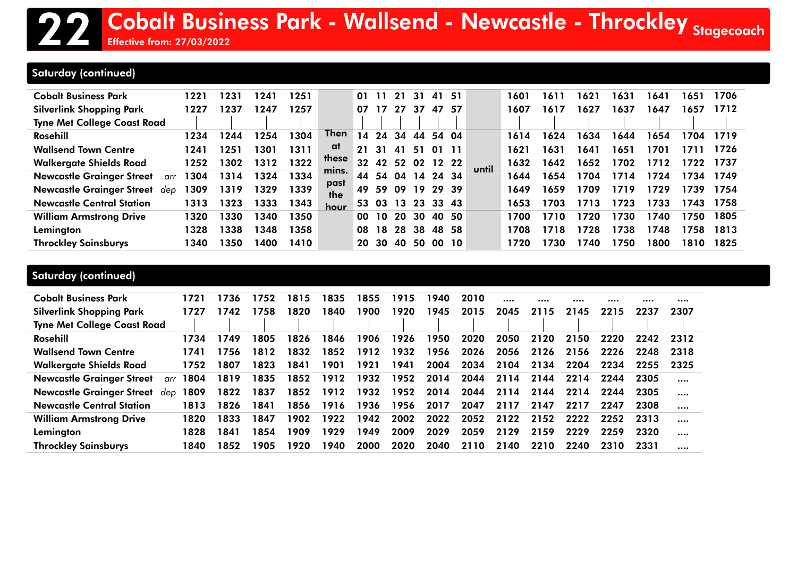Effective from: 27/03/2022

### Saturday (continued)

| <b>Cobalt Business Park</b><br><b>Silverlink Shopping Park</b><br><b>Tyne Met College Coast Road</b> | 1221<br>1227 | 1231<br>1237 | 1241<br>1247 | 1251<br>1257 |             | 01<br>07        |           | 21<br>27 | 31<br>37       | 41<br>47 | - 51<br>57 |       | 1601<br>1607 | 1611<br>1617 | 1621<br>1627 | 1631<br>1637 | 1641<br>1647 | 1651<br>1657 | 1706<br>1712 |
|------------------------------------------------------------------------------------------------------|--------------|--------------|--------------|--------------|-------------|-----------------|-----------|----------|----------------|----------|------------|-------|--------------|--------------|--------------|--------------|--------------|--------------|--------------|
| Rosehill                                                                                             | 1234         | 1244         | 1254         | 1304         | <b>Then</b> | $\overline{14}$ | 24        | 34       | 44             | 54 04    |            |       | 1614         | 1624         | 1634         | 1644         | 1654         | 1704         | 1719         |
| <b>Wallsend Town Centre</b>                                                                          | 1241         | 1251         | 1301         | 1311         | at          | 21              | -31       | 41       | 51             | O 1      |            |       | 1621         | 1631         | 1641         | 1651         | 1701         |              | 1726         |
| <b>Walkergate Shields Road</b>                                                                       | 1252         | 1302         | 1312         | 1322         | these       | 32              | 42        | 52       | 02             | 12 22    |            |       | 1632         | 1642         | 1652         | 1702         | 1712         | 1722         | 1737         |
| <b>Newcastle Grainger Street</b><br>arr                                                              | 304          | 1314         | 1324         | 1334         | mins.       | 44              |           |          | 54 04 14 24 34 |          |            | until | 1644         | 1654         | 1704         | 1714         | 1724         | 1734         | 1749         |
| <b>Newcastle Grainger Street</b><br>dep                                                              | 309          | 1319         | 1329         | 1339         | past<br>the | 49              | 59.       | -09      | 19             | 29 39    |            |       | 1649         | 1659         | 1709         | 1719         | 1729         | 1739         | 1754         |
| <b>Newcastle Central Station</b>                                                                     | 1313         | 1323         | 1333         | 1343         | hour        | 53.             |           |          | 03 13 23 33 43 |          |            |       | 1653         | 1703         | 1713         | 1723         | 1733         | 1743         | 1758         |
| <b>William Armstrong Drive</b>                                                                       | 1320         | 1330         | 1340         | 1350         |             | 00              | 10        | 20       | 30             | 40 50    |            |       | 1700         | 1710         | 1720         | 1730         | 1740         | 1750         | 1805         |
| Lemington                                                                                            | 328          | 1338         | 1348         | 1358         |             | 08              | 18        | 28       | 38             | 48 58    |            |       | 1708         | 1718         | 1728         | 1738         | 1748         | 1758         | 1813         |
| <b>Throckley Sainsburys</b>                                                                          | 340          | 1350         | 1400         | 1410         |             | 20.             | <b>30</b> | 40       | 50             | OO.      | <b>10</b>  |       | 1720         | 1730         | 1740         | 1750         | 1800         | 1810         | 1825         |

| <b>Cobalt Business Park</b><br><b>Silverlink Shopping Park</b><br><b>Tyne Met College Coast Road</b> | 1721<br>1727 | 1736<br>1742 | 1752<br>1758 | 1815<br>1820 | 1835<br>1840 | 1855<br>1900 | 1915<br>1920 | 1940.<br>1945 | 2010<br>2015 | 2045 | 2115 | 2145 | <br>2215 | <br>2237 | <br>2307 |
|------------------------------------------------------------------------------------------------------|--------------|--------------|--------------|--------------|--------------|--------------|--------------|---------------|--------------|------|------|------|----------|----------|----------|
| Rosehill                                                                                             | 1734         | 1749         | 1805         | 1826         | 1846         | 1906         | 1926         | 1950          | 2020         | 2050 | 2120 | 2150 | 2220     | 2242     | 2312     |
| <b>Wallsend Town Centre</b>                                                                          | 1741         | 1756         | 1812         | 1832         | 1852         | 1912         | 1932         | 1956          | 2026         | 2056 | 2126 | 2156 | 2226     | 2248     | 2318     |
| <b>Walkergate Shields Road</b>                                                                       | 1752         | 1807         | 1823         | 1841         | 1901         | 1921         | 1941         | 2004          | 2034         | 2104 | 2134 | 2204 | 2234     | 2255     | 2325     |
| <b>Newcastle Grainger Street</b><br>arr                                                              | 1804         | 1819         | 1835         | 1852         | 1912         | 1932         | 1952         | 2014          | 2044         | 2114 | 2144 | 2214 | 2244     | 2305     |          |
| <b>Newcastle Grainger Street</b><br>dep                                                              | 1809         | 1822         | 1837         | 1852         | 1912         | 1932         | 1952         | 2014          | 2044         | 2114 | 2144 | 2214 | 2244     | 2305     |          |
| <b>Newcastle Central Station</b>                                                                     | 1813         | 1826         | 1841         | 1856         | 1916         | 1936         | 1956         | 2017          | 2047         | 2117 | 2147 | 2217 | 2247     | 2308     |          |
| <b>William Armstrong Drive</b>                                                                       | 1820         | 1833         | 1847         | 1902         | 1922         | 1942         | 2002         | 2022          | 2052         | 2122 | 2152 | 2222 | 2252     | 2313     |          |
| Lemington                                                                                            | 1828         | 1841         | 1854         | 1909         | 1929         | 1949         | 2009         | 2029          | 2059         | 2129 | 2159 | 2229 | 2259     | 2320     |          |
| <b>Throckley Sainsburys</b>                                                                          | 1840         | 1852         | 1905         | 1920         | 1940         | 2000         | 2020         | 2040          | 2110         | 2140 | 2210 | 2240 | 2310     | 2331     |          |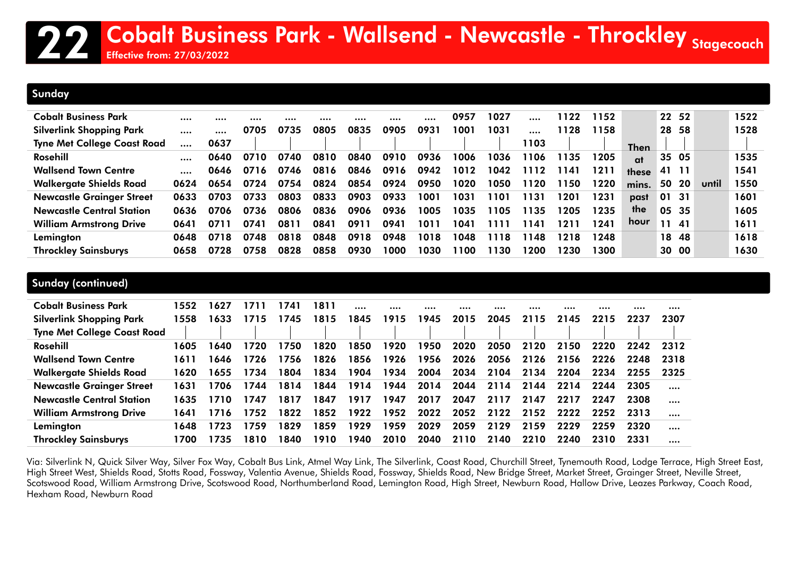#### Sunday

| <b>Cobalt Business Park</b>        |      |      |      |      |      |      |      |      | 0957 | 1027 |      | 1122 | 1152 |             |       | 22 52       |       | 1522 |
|------------------------------------|------|------|------|------|------|------|------|------|------|------|------|------|------|-------------|-------|-------------|-------|------|
| <b>Silverlink Shopping Park</b>    |      |      | 0705 | 0735 | 0805 | 0835 | 0905 | 0931 | 1001 | 1031 |      | 1128 | 1158 |             | 28    | 58          |       | 1528 |
| <b>Tyne Met College Coast Road</b> |      | 0637 |      |      |      |      |      |      |      |      | 1103 |      |      | <b>Then</b> |       |             |       |      |
| Rosehill                           |      | 0640 | 0710 | 0740 | 0810 | 0840 | 0910 | 0936 | 1006 | 1036 | 106  | 1135 | 1205 | at          |       | 35 05       |       | 1535 |
| <b>Wallsend Town Centre</b>        |      | 0646 | 0716 | 0746 | 0816 | 0846 | 0916 | 0942 | 1012 | 1042 | 112  | 1141 | 1211 | these       | 41 11 |             |       | 1541 |
| <b>Walkergate Shields Road</b>     | 0624 | 0654 | 0724 | 0754 | 0824 | 0854 | 0924 | 0950 | 1020 | 1050 | 120  | 1150 | 1220 | mins.       | 50    | <b>20</b> l | until | 1550 |
| <b>Newcastle Grainger Street</b>   | 0633 | 0703 | 0733 | 0803 | 0833 | 0903 | 0933 | 1001 | 1031 | 1101 | 131  | 1201 | 1231 | past        | 01 31 |             |       | 1601 |
| <b>Newcastle Central Station</b>   | 0636 | 0706 | 0736 | 0806 | 0836 | 0906 | 0936 | 1005 | 1035 | 1105 | 135  | 1205 | 1235 | the         | 05 35 |             |       | 1605 |
| <b>William Armstrong Drive</b>     | 0641 | 0711 | 0741 | 0811 | 0841 | 0911 | 0941 | 1011 | 1041 | 1111 | 141  | 1211 | 1241 | hour        |       | 11 41       |       | 1611 |
| Lemington                          | 0648 | 0718 | 0748 | 0818 | 0848 | 0918 | 0948 | 1018 | 1048 | 1118 | 148  | 1218 | 1248 |             |       | 18 48       |       | 1618 |
| <b>Throckley Sainsburys</b>        | 0658 | 0728 | 0758 | 0828 | 0858 | 0930 | 1000 | 1030 | 1100 | 1130 | 200  | 1230 | 1300 |             |       | 30 00       |       | 1630 |

| Sunday (continued)                                                    |      |      |      |      |      |      |      |      |      |      |      |      |      |          |          |
|-----------------------------------------------------------------------|------|------|------|------|------|------|------|------|------|------|------|------|------|----------|----------|
| <b>Cobalt Business Park</b>                                           | 1552 | 1627 | 1711 | 1741 | 1811 |      |      |      |      |      |      |      |      | $\cdots$ |          |
| <b>Silverlink Shopping Park</b><br><b>Tyne Met College Coast Road</b> | 1558 | 1633 | 1715 | 1745 | 1815 | 1845 | 1915 | 1945 | 2015 | 2045 | 2115 | 2145 | 2215 | 2237     | 2307     |
| Rosehill                                                              | 1605 | 1640 | 1720 | 1750 | 1820 | 1850 | 1920 | 1950 | 2020 | 2050 | 2120 | 2150 | 2220 | 2242     | 2312     |
| <b>Wallsend Town Centre</b>                                           | 1611 | 1646 | 1726 | 1756 | 1826 | 1856 | 1926 | 1956 | 2026 | 2056 | 2126 | 2156 | 2226 | 2248     | 2318     |
| <b>Walkergate Shields Road</b>                                        | 1620 | 1655 | 1734 | 1804 | 1834 | 1904 | 1934 | 2004 | 2034 | 2104 | 2134 | 2204 | 2234 | 2255     | 2325     |
| <b>Newcastle Grainger Street</b>                                      | 1631 | 1706 | 1744 | 1814 | 1844 | 1914 | 1944 | 2014 | 2044 | 2114 | 2144 | 2214 | 2244 | 2305     |          |
| <b>Newcastle Central Station</b>                                      | 1635 | 1710 | 1747 | 1817 | 1847 | 1917 | 1947 | 2017 | 2047 | 2117 | 2147 | 2217 | 2247 | 2308     |          |
| <b>William Armstrong Drive</b>                                        | 1641 | 1716 | 1752 | 1822 | 1852 | 1922 | 1952 | 2022 | 2052 | 2122 | 2152 | 2222 | 2252 | 2313     | $\cdots$ |
| Lemington                                                             | 1648 | 1723 | 1759 | 1829 | 1859 | 1929 | 1959 | 2029 | 2059 | 2129 | 2159 | 2229 | 2259 | 2320     |          |
| <b>Throckley Sainsburys</b>                                           | 1700 | 1735 | 1810 | 1840 | 1910 | 1940 | 2010 | 2040 | 2110 | 2140 | 2210 | 2240 | 2310 | 2331     |          |

Via: Silverlink N, Quick Silver Way, Silver Fox Way, Cobalt Bus Link, Atmel Way Link, The Silverlink, Coast Road, Churchill Street, Tynemouth Road, Lodge Terrace, High Street East, High Street West, Shields Road, Stotts Road, Fossway, Valentia Avenue, Shields Road, Fossway, Shields Road, New Bridge Street, Market Street, Grainger Street, Neville Street, Scotswood Road, William Armstrong Drive, Scotswood Road, Northumberland Road, Lemington Road, High Street, Newburn Road, Hallow Drive, Leazes Parkway, Coach Road, Hexham Road, Newburn Road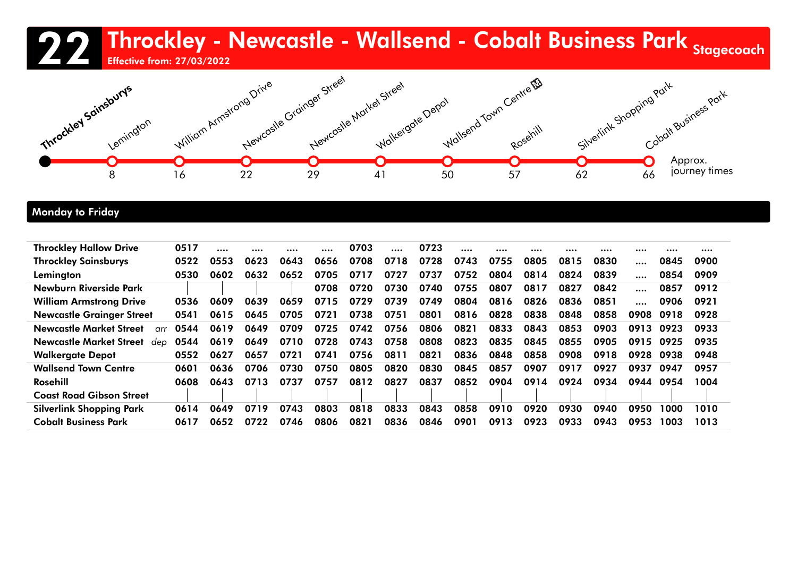### 22 Throckley - Newcastle - Wallsend - Cobalt Business Park <sub>Stagecoach</sub><br>22 Throckley - Newcastle - Wallsend - Cobalt Business Park <sub>Stagecoach</sub> Effective from: 27/03/2022



### Monday to Friday

| <b>Throckley Sainsburys</b><br>0656<br>0708<br>0728<br>0755<br>0522<br>0623<br>0643<br>0718<br>0743<br>0805<br>0815<br>0830<br>0553<br>0845<br>0900<br>Lemington<br>0652<br>0804<br>0530<br>0632<br>0705<br>0717<br>0727<br>0737<br>0752<br>0814<br>0824<br>0839<br>0909<br>0602<br>0854<br>Newburn Riverside Park<br>0730<br>0740<br>0708<br>0720<br>0755<br>0807<br>0817<br>0827<br>0842<br>0912<br>0857 |  |
|------------------------------------------------------------------------------------------------------------------------------------------------------------------------------------------------------------------------------------------------------------------------------------------------------------------------------------------------------------------------------------------------------------|--|
|                                                                                                                                                                                                                                                                                                                                                                                                            |  |
|                                                                                                                                                                                                                                                                                                                                                                                                            |  |
|                                                                                                                                                                                                                                                                                                                                                                                                            |  |
| 0715<br>0749<br>0659<br>0729<br>0739<br>0804<br>0816<br>0826<br>0836<br>0851<br><b>William Armstrong Drive</b><br>0536<br>0639<br>0921<br>0609<br>0906                                                                                                                                                                                                                                                     |  |
| <b>Newcastle Grainger Street</b><br>0801<br>0816<br>0838<br>0541<br>0615<br>0705<br>0721<br>0738<br>0751<br>0828<br>0848<br>0858<br>0645<br>0908<br>0928<br>0918                                                                                                                                                                                                                                           |  |
| 0544<br>0756<br>0806<br>0821<br><b>Newcastle Market Street</b><br>0619<br>0649<br>0709<br>0725<br>0742<br>0833<br>0843<br>0853<br>0903<br>0913<br>0933<br>0923<br>$\alpha$ rr                                                                                                                                                                                                                              |  |
| 0758<br>0808<br>0649<br>0710<br>0728<br>0743<br>0823<br>0835<br>0845<br>0544<br>0619<br>0855<br>0905<br>0935<br>0915<br>Newcastle Market Street<br>0925<br>dep                                                                                                                                                                                                                                             |  |
| 0721<br>0741<br>0756<br>0811<br>0821<br>0836<br>0848<br>0858<br>0908<br><b>Walkergate Depot</b><br>0552<br>0918<br>0948<br>0627<br>0657<br>0928<br>0938                                                                                                                                                                                                                                                    |  |
| <b>Wallsend Town Centre</b><br>0820<br>0830<br>0636<br>0730<br>0750<br>0805<br>0845<br>0857<br>0907<br>0917<br>0927<br>0601<br>0706<br>0937<br>0957<br>0947                                                                                                                                                                                                                                                |  |
| Rosehill<br>0737<br>0757<br>0812<br>0827<br>0837<br>0852<br>0904<br>0914<br>0608<br>0713<br>0924<br>0934<br>0944<br>1004<br>0643<br>0954                                                                                                                                                                                                                                                                   |  |
| <b>Coast Road Gibson Street</b>                                                                                                                                                                                                                                                                                                                                                                            |  |
| <b>Silverlink Shopping Park</b><br>0719<br>0743<br>0803<br>0818<br>0833<br>0920<br>0843<br>0858<br>0910<br>0930<br>0940<br>0950<br>1010<br>0614<br>1000<br>0649                                                                                                                                                                                                                                            |  |
| <b>Cobalt Business Park</b><br>0836<br>0746<br>0821<br>0901<br>0913<br>0923<br>0933<br>0617<br>0722<br>0806<br>0846<br>0943<br>0953<br>1013<br>0652<br>1003                                                                                                                                                                                                                                                |  |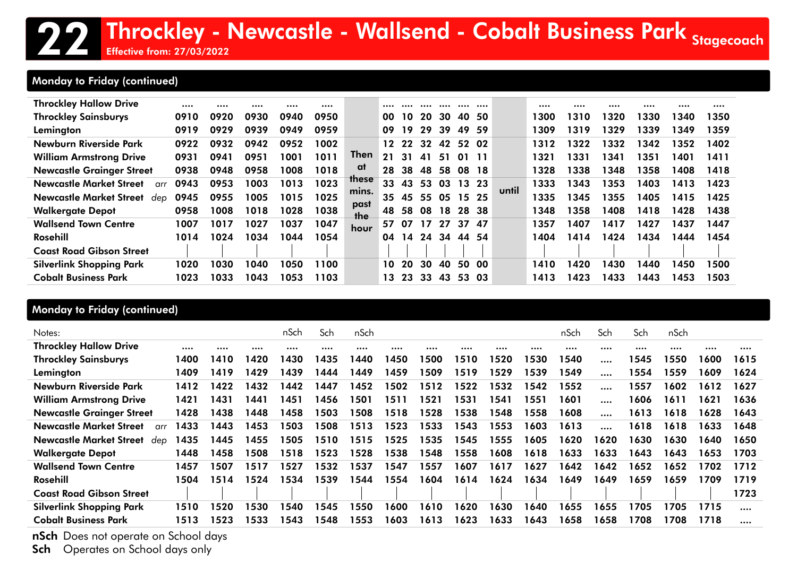## 22 Throckley - Newcastle - Wallsend - Cobalt Business Park <sub>Stagecoach</sub><br>22 Throckley - Newcastle - Wallsend - Cobalt Business Park <sub>Stagecoach</sub>

Effective from: 27/03/2022

### Monday to Friday (continued)

| <b>Throckley Hallow Drive</b>         |      |      |      |      |      |              |     |     |    |     |       |       |       |      |      |      |      |      |      |
|---------------------------------------|------|------|------|------|------|--------------|-----|-----|----|-----|-------|-------|-------|------|------|------|------|------|------|
| <b>Throckley Sainsburys</b>           | 0910 | 0920 | 0930 | 0940 | 0950 |              | 00  | 10  | 20 | 30  | 40    | -50   |       | 1300 | 1310 | 1320 | 1330 | 1340 | 1350 |
| Lemington                             | 0919 | 0929 | 0939 | 0949 | 0959 |              | 09  | 19  | 29 | 39  | 49.   | -59   |       | 1309 | 1319 | 1329 | 1339 | 1349 | 1359 |
| Newburn Riverside Park                | 0922 | 0932 | 0942 | 0952 | 1002 |              | 12  | 22  | 32 | 42  | 52 02 |       |       | 1312 | 1322 | 1332 | 1342 | 1352 | 1402 |
| <b>William Armstrong Drive</b>        | 0931 | 0941 | 0951 | 1001 | 1011 | <b>Then</b>  | 21  | 31  | 41 | 51  | 01    |       |       | 1321 | 1331 | 1341 | 1351 | 1401 | 1411 |
| <b>Newcastle Grainger Street</b>      | 0938 | 0948 | 0958 | 1008 | 1018 | at           | 28  | 38  | 48 | 58  |       | 08 18 |       | 1328 | 1338 | 1348 | 1358 | 1408 | 1418 |
| <b>Newcastle Market Street</b><br>arr | 0943 | 0953 | 1003 | 1013 | 1023 | <b>these</b> | 33  | 43  | 53 | 03  | 13 23 |       |       | 1333 | 1343 | 1353 | 1403 | 1413 | 1423 |
| <b>Newcastle Market Street</b><br>dep | 0945 | 0955 | 1005 | 1015 | 1025 | mins.        | 35  | 45  | 55 | 05  | 15 25 |       | until | 1335 | 1345 | 1355 | 1405 | 1415 | 1425 |
| <b>Walkergate Depot</b>               | 0958 | 1008 | 1018 | 1028 | 1038 | past<br>the  | 48  | 58  | 08 | 18  |       | 28 38 |       | 1348 | 1358 | 1408 | 1418 | 1428 | 1438 |
| <b>Wallsend Town Centre</b>           | 1007 | 1017 | 1027 | 1037 | 1047 | hour         | 57. | 07  | 17 | 27  |       | 37 47 |       | 1357 | 1407 | 1417 | 1427 | 1437 | 1447 |
| Rosehill                              | 1014 | 1024 | 1034 | 1044 | 1054 |              | 04  | 14  | 24 | -34 | 44    | -54   |       | 1404 | 1414 | 1424 | 1434 | 1444 | 1454 |
| <b>Coast Road Gibson Street</b>       |      |      |      |      |      |              |     |     |    |     |       |       |       |      |      |      |      |      |      |
| <b>Silverlink Shopping Park</b>       | 1020 | 1030 | 1040 | 1050 | 1100 |              | 10. | 20  | 30 | 40  | 50    | -00   |       | 1410 | 1420 | 1430 | 1440 | 1450 | 1500 |
| <b>Cobalt Business Park</b>           | 1023 | 1033 | 1043 | 1053 | 1103 |              | 13. | -23 | 33 | 43  | 53    | 03    |       | 1413 | 1423 | 1433 | 1443 | 1453 | 1503 |

### Monday to Friday (continued)

| Notes:                                        |      |      |      | nSch | Sch  | nSch |      |      |      |      |      | nSch | Sch      | Sch  | nSch |       |      |
|-----------------------------------------------|------|------|------|------|------|------|------|------|------|------|------|------|----------|------|------|-------|------|
| <b>Throckley Hallow Drive</b>                 |      |      |      |      |      |      |      |      |      |      |      |      |          |      |      |       |      |
| <b>Throckley Sainsburys</b>                   | 1400 | 1410 | 1420 | 1430 | 1435 | 1440 | 1450 | 1500 | 1510 | 1520 | 1530 | 1540 |          | 1545 | 1550 | 600   | 1615 |
| Lemington                                     | 1409 | 1419 | 1429 | 1439 | 1444 | 1449 | 1459 | 1509 | 1519 | 1529 | 1539 | 1549 |          | 1554 | 1559 | 609   | 1624 |
| Newburn Riverside Park                        | 1412 | 1422 | 1432 | 1442 | 1447 | 1452 | 1502 | 1512 | 1522 | 1532 | 1542 | 1552 |          | 1557 | 1602 | 1612  | 1627 |
| <b>William Armstrong Drive</b>                | 1421 | 1431 | 1441 | 1451 | 1456 | 1501 | 1511 | 1521 | 1531 | 1541 | 1551 | 1601 | $\cdots$ | 1606 | 1611 | 621 ا | 1636 |
| <b>Newcastle Grainger Street</b>              | 1428 | 1438 | 1448 | 1458 | 1503 | 1508 | 1518 | 1528 | 1538 | 1548 | 1558 | 1608 |          | 1613 | 1618 | 1628  | 1643 |
| <b>Newcastle Market Street</b><br>$\alpha$ rr | 1433 | 1443 | 1453 | 1503 | 1508 | 1513 | 1523 | 1533 | 1543 | 1553 | 1603 | 1613 |          | 1618 | 1618 | 1633  | 1648 |
| Newcastle Market Street<br>dep                | 1435 | 1445 | 1455 | 1505 | 1510 | 1515 | 1525 | 1535 | 1545 | 1555 | 1605 | 1620 | 1620     | 1630 | 1630 | 1640  | 1650 |
| <b>Walkergate Depot</b>                       | 1448 | 1458 | 1508 | 1518 | 1523 | 1528 | 1538 | 1548 | 1558 | 1608 | 1618 | 1633 | 1633     | 1643 | 1643 | 1653  | 1703 |
| <b>Wallsend Town Centre</b>                   | 1457 | 1507 | 1517 | 1527 | 1532 | 1537 | 1547 | 1557 | 1607 | 1617 | 1627 | 1642 | 1642     | 1652 | 1652 | 1702  | 1712 |
| Rosehill                                      | 1504 | 1514 | 1524 | 1534 | 1539 | 1544 | 1554 | 1604 | 1614 | 1624 | 1634 | 1649 | 1649     | 1659 | 1659 | 1709  | 1719 |
| <b>Coast Road Gibson Street</b>               |      |      |      |      |      |      |      |      |      |      |      |      |          |      |      |       | 1723 |
| <b>Silverlink Shopping Park</b>               | 1510 | 1520 | 1530 | 1540 | 1545 | 1550 | 1600 | 1610 | 1620 | 1630 | 1640 | 1655 | 1655     | 1705 | 1705 | 1715  |      |
| <b>Cobalt Business Park</b>                   | 1513 | 1523 | 1533 | 1543 | 1548 | 1553 | 1603 | 1613 | 1623 | 1633 | 1643 | 1658 | 1658     | 1708 | 1708 | 1718  |      |

nSch Does not operate on School days

Sch Operates on School days only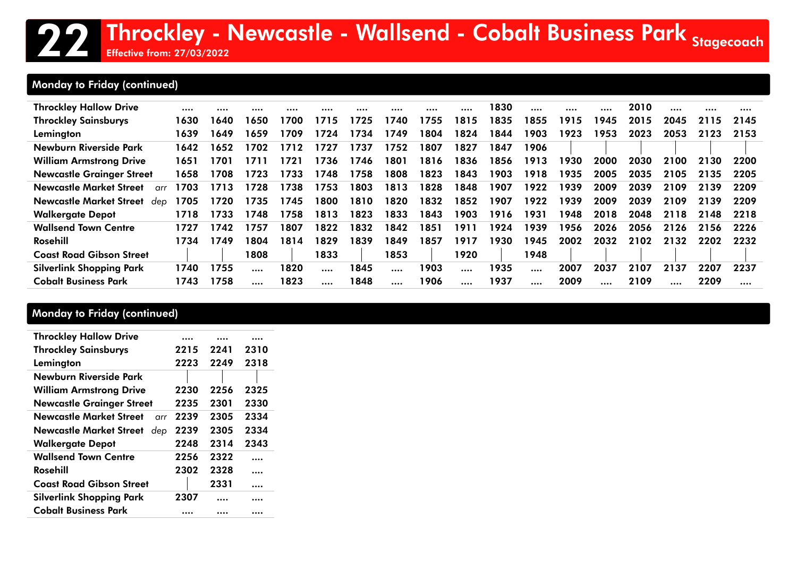## 22 Throckley - Newcastle - Wallsend - Cobalt Business Park <sub>Stagecoach</sub><br>22 Throckley - Newcastle - Wallsend - Cobalt Business Park <sub>Stagecoach</sub>

Effective from: 27/03/2022

### Monday to Friday (continued)

| <b>Throckley Hallow Drive</b>                 |      |      |          |      |      |      |          |      |           | 1830 |          | $\cdots$ |      | 2010 |      |      |      |
|-----------------------------------------------|------|------|----------|------|------|------|----------|------|-----------|------|----------|----------|------|------|------|------|------|
| <b>Throckley Sainsburys</b>                   | 1630 | 1640 | 1650     | 1700 | 1715 | 1725 | 1740     | 1755 | 1815      | 1835 | 1855     | 1915     | 1945 | 2015 | 2045 | 2115 | 2145 |
| Lemington                                     | 1639 | 1649 | 1659     | 1709 | 1724 | 1734 | 1749     | 1804 | 1824      | 1844 | 1903     | 1923     | 1953 | 2023 | 2053 | 2123 | 2153 |
| Newburn Riverside Park                        | 1642 | 1652 | 1702     | 1712 | 1727 | 1737 | 1752     | 1807 | 1827      | 1847 | 1906     |          |      |      |      |      |      |
| <b>William Armstrong Drive</b>                | 1651 | 1701 | 1711     | 1721 | 1736 | 1746 | 1801     | 1816 | 1836      | 1856 | 1913     | 1930     | 2000 | 2030 | 2100 | 2130 | 2200 |
| <b>Newcastle Grainger Street</b>              | 1658 | 1708 | 1723     | 1733 | 1748 | 1758 | 1808     | 1823 | 1843      | 1903 | 1918     | 1935     | 2005 | 2035 | 2105 | 2135 | 2205 |
| <b>Newcastle Market Street</b><br>$\alpha$ rr | 1703 | 1713 | 1728     | 1738 | 1753 | 1803 | 1813     | 1828 | 1848      | 1907 | 1922     | 1939     | 2009 | 2039 | 2109 | 2139 | 2209 |
| <b>Newcastle Market Street</b><br>dep         | 1705 | 1720 | 1735     | 1745 | 1800 | 1810 | 1820     | 1832 | 1852      | 1907 | 1922     | 1939     | 2009 | 2039 | 2109 | 2139 | 2209 |
| <b>Walkergate Depot</b>                       | 1718 | 1733 | 1748     | 1758 | 1813 | 1823 | 1833     | 1843 | 1903      | 1916 | 1931     | 1948     | 2018 | 2048 | 2118 | 2148 | 2218 |
| <b>Wallsend Town Centre</b>                   | 1727 | 1742 | 1757     | 1807 | 1822 | 1832 | 1842     | 1851 | 1911      | 1924 | 1939     | 1956     | 2026 | 2056 | 2126 | 2156 | 2226 |
| Rosehill                                      | 1734 | 1749 | 1804     | 1814 | 1829 | 1839 | 1849     | 1857 | 1917      | 1930 | 1945     | 2002     | 2032 | 2102 | 2132 | 2202 | 2232 |
| <b>Coast Road Gibson Street</b>               |      |      | 1808     |      | 1833 |      | 1853     |      | 1920      |      | 1948     |          |      |      |      |      |      |
| <b>Silverlink Shopping Park</b>               | 1740 | 1755 | $\cdots$ | 1820 |      | 1845 | $\cdots$ | 1903 | $\cdots$  | 1935 | $\cdots$ | 2007     | 2037 | 2107 | 2137 | 2207 | 2237 |
| <b>Cobalt Business Park</b>                   | 1743 | 1758 |          | 1823 |      | 1848 |          | 1906 | $\ddotsc$ | 1937 |          | 2009     |      | 2109 |      | 2209 |      |

### Monday to Friday (continued)

| <b>Throckley Hallow Drive</b>         |      |      |          |
|---------------------------------------|------|------|----------|
| <b>Throckley Sainsburys</b>           | 2215 | 2241 | 2310     |
| Lemington                             | 2223 | 2249 | 2318     |
| Newburn Riverside Park                |      |      |          |
| <b>William Armstrong Drive</b>        | 2230 | 2256 | 2325     |
| <b>Newcastle Grainger Street</b>      | 2235 | 2301 | 2330     |
| Newcastle Market Street<br>arr        | 2239 | 2305 | 2334     |
| <b>Newcastle Market Street</b><br>dep | 2239 | 2305 | 2334     |
| <b>Walkergate Depot</b>               | 2248 | 2314 | 2343     |
| <b>Wallsend Town Centre</b>           | 2256 | 2322 | $\cdots$ |
| Rosehill                              | 2302 | 2328 | .        |
| <b>Coast Road Gibson Street</b>       |      | 2331 |          |
| <b>Silverlink Shopping Park</b>       | 2307 |      | .        |
| Cobalt Business Park                  |      |      |          |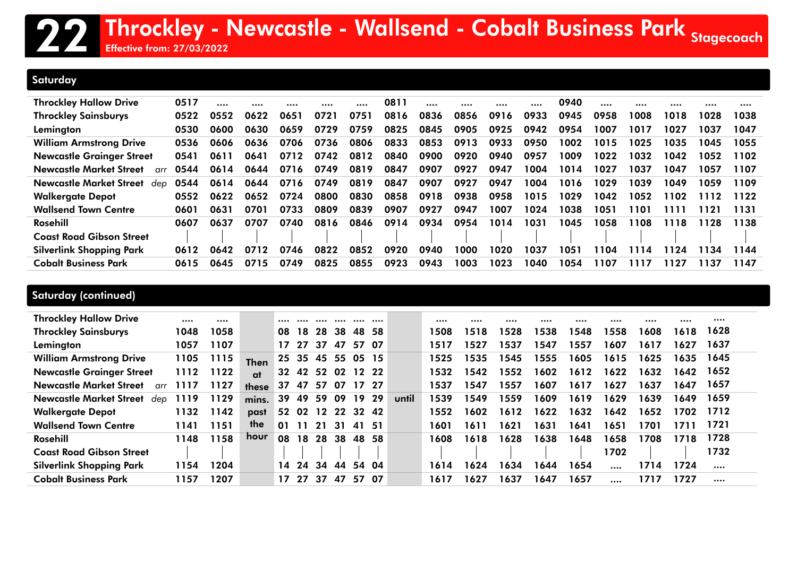### **Saturday**

Effective from: 27/03/2022

| <b>Throckley Hallow Drive</b>                 | 0517 |      |      |      |      |      | 0811 |      |      |      |      | 0940 |      |      |      |      |      |
|-----------------------------------------------|------|------|------|------|------|------|------|------|------|------|------|------|------|------|------|------|------|
| <b>Throckley Sainsburys</b>                   | 0522 | 0552 | 0622 | 0651 | 0721 | 0751 | 0816 | 0836 | 0856 | 0916 | 0933 | 0945 | 0958 | 1008 | 1018 | 1028 | 1038 |
| Lemington                                     | 0530 | 0600 | 0630 | 0659 | 0729 | 0759 | 0825 | 0845 | 0905 | 0925 | 0942 | 0954 | 1007 | 1017 | 1027 | 1037 | 1047 |
| <b>William Armstrong Drive</b>                | 0536 | 0606 | 0636 | 0706 | 0736 | 0806 | 0833 | 0853 | 0913 | 0933 | 0950 | 1002 | 1015 | 1025 | 1035 | 1045 | 1055 |
| <b>Newcastle Grainger Street</b>              | 0541 | 0611 | 0641 | 0712 | 0742 | 0812 | 0840 | 0900 | 0920 | 0940 | 0957 | 1009 | 1022 | 1032 | 1042 | 1052 | 1102 |
| <b>Newcastle Market Street</b><br>$\alpha$ rr | 0544 | 0614 | 0644 | 0716 | 0749 | 0819 | 0847 | 0907 | 0927 | 0947 | 1004 | 1014 | 1027 | 1037 | 1047 | 1057 | 1107 |
| Newcastle Market Street<br>dep                | 0544 | 0614 | 0644 | 0716 | 0749 | 0819 | 0847 | 0907 | 0927 | 0947 | 1004 | 1016 | 1029 | 1039 | 1049 | 1059 | 1109 |
| <b>Walkergate Depot</b>                       | 0552 | 0622 | 0652 | 0724 | 0800 | 0830 | 0858 | 0918 | 0938 | 0958 | 1015 | 1029 | 1042 | 1052 | 1102 | 1112 | 1122 |
| <b>Wallsend Town Centre</b>                   | 0601 | 0631 | 0701 | 0733 | 0809 | 0839 | 0907 | 0927 | 0947 | 1007 | 1024 | 1038 | 1051 | 1101 | 1111 | 121  | 1131 |
| Rosehill                                      | 0607 | 0637 | 0707 | 0740 | 0816 | 0846 | 0914 | 0934 | 0954 | 1014 | 1031 | 1045 | 1058 | 1108 | 1118 | 128  | 1138 |
| <b>Coast Road Gibson Street</b>               |      |      |      |      |      |      |      |      |      |      |      |      |      |      |      |      |      |
| <b>Silverlink Shopping Park</b>               | 0612 | 0642 | 0712 | 0746 | 0822 | 0852 | 0920 | 0940 | 1000 | 1020 | 1037 | 1051 | 1104 | 1114 | 1124 | 134  | 1144 |
| <b>Cobalt Business Park</b>                   | 0615 | 0645 | 0715 | 0749 | 0825 | 0855 | 0923 | 0943 | 1003 | 1023 | 1040 | 1054 | 1107 | 1117 | 1127 | 137  | 1147 |

| <b>Throckley Hallow Drive</b>         |      |      |             |     |                |       |          |           |      |       |      |      |      |      |      |          |      |      |      |
|---------------------------------------|------|------|-------------|-----|----------------|-------|----------|-----------|------|-------|------|------|------|------|------|----------|------|------|------|
| <b>Throckley Sainsburys</b>           | 1048 | 1058 |             | 08  | 18.            | 28    | -38      | 48.       | -58  |       | 1508 | 1518 | 1528 | 1538 | 1548 | 1558     | 1608 | 1618 | 1628 |
| Lemington                             | 1057 | 1107 |             |     | 17 27          | 37    | 47       | 57        | -07  |       | 1517 | 1527 | 1537 | 1547 | 1557 | 1607     | 1617 | 1627 | 1637 |
| <b>William Armstrong Drive</b>        | 1105 | 1115 | <b>Then</b> | 25. | -35            | 45    | 55 05 15 |           |      |       | 1525 | 1535 | 1545 | 1555 | 1605 | 1615     | 1625 | 1635 | 1645 |
| <b>Newcastle Grainger Street</b>      | 1112 | 1122 | at          | 32  | -42            | 52 02 |          | 12 22     |      |       | 1532 | 1542 | 1552 | 1602 | 1612 | 1622     | 1632 | 1642 | 1652 |
| <b>Newcastle Market Street</b><br>arr | 1117 | 1127 | these       | 37  | 47             | 57    | 07       | 17 27     |      |       | 1537 | 1547 | 1557 | 1607 | 1617 | 1627     | 1637 | 1647 | 1657 |
| <b>Newcastle Market Street</b><br>dep | 1119 | 1129 | mins.       | 39  | 49             | 59    | 09       | 19        | 29   | until | 1539 | 1549 | 1559 | 1609 | 1619 | 1629     | 1639 | 1649 | 1659 |
| <b>Walkergate Depot</b>               | 1132 | 142  | past        | 52  | 02 12 22 32 42 |       |          |           |      |       | 1552 | 1602 | 1612 | 1622 | 1632 | 1642     | 1652 | 1702 | 1712 |
| <b>Wallsend Town Centre</b>           | 1141 | 1151 | the         | 01  | 11             | 21    | -31      | <b>41</b> | - 51 |       | 1601 | 1611 | 1621 | 1631 | 1641 | 1651     | 1701 | 1711 | 1721 |
| Rosehill                              | 1148 | 158  | hour        | 08  | 18             | 28    | 38       | 48        | 58   |       | 1608 | 1618 | 1628 | 1638 | 1648 | 1658     | 1708 | 1718 | 1728 |
| <b>Coast Road Gibson Street</b>       |      |      |             |     |                |       |          |           |      |       |      |      |      |      |      | 1702     |      |      | 1732 |
| <b>Silverlink Shopping Park</b>       | 1154 | 1204 |             | 14  | 24             | 34    | 44       | 54        | -04  |       | 1614 | 1624 | 1634 | 1644 | 1654 | $\cdots$ | 1714 | 1724 |      |
| <b>Cobalt Business Park</b>           | 1157 | 1207 |             |     | 17 27          | 37    | 47       | 57        | -07  |       | 1617 | 1627 | 1637 | 1647 | 1657 |          | 1717 | 1727 |      |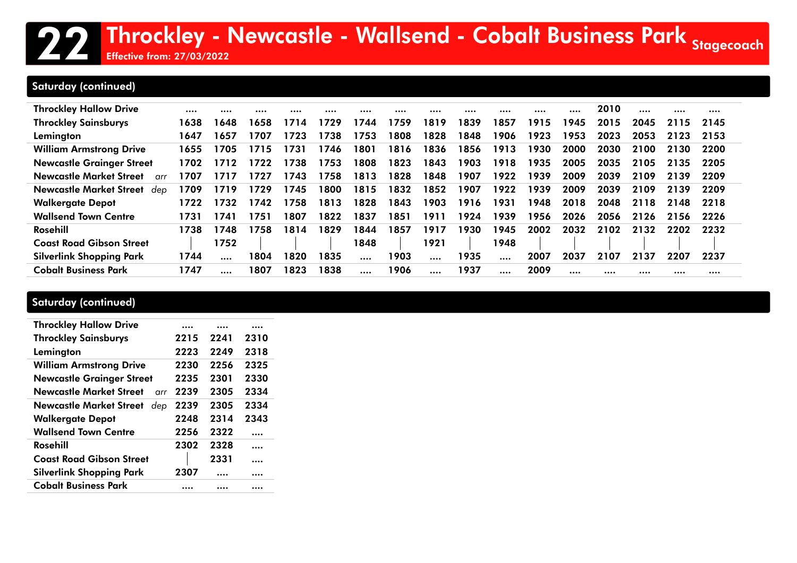### 22 Throckley - Newcastle - Wallsend - Cobalt Business Park <sub>Stagecoach</sub><br>22 Throckley - Newcastle - Wallsend - Cobalt Business Park <sub>Stagecoach</sub> Effective from: 27/03/2022

### Saturday (continued)

| <b>Throckley Hallow Drive</b>                 |      |      |      |      | .    | .    |      |      |      |          |      |      | 2010 |      |      |      |
|-----------------------------------------------|------|------|------|------|------|------|------|------|------|----------|------|------|------|------|------|------|
| <b>Throckley Sainsburys</b>                   | 1638 | 1648 | 1658 | 1714 | 1729 | 1744 | 1759 | 1819 | 1839 | 1857     | 1915 | 1945 | 2015 | 2045 | 2115 | 2145 |
| Lemington                                     | 1647 | 1657 | 1707 | 1723 | 1738 | 1753 | 1808 | 1828 | 1848 | 1906     | 1923 | 1953 | 2023 | 2053 | 2123 | 2153 |
| <b>William Armstrong Drive</b>                | 1655 | 1705 | 1715 | 1731 | 1746 | 1801 | 1816 | 1836 | 1856 | 1913     | 1930 | 2000 | 2030 | 2100 | 2130 | 2200 |
| <b>Newcastle Grainger Street</b>              | 1702 | 1712 | 1722 | 1738 | 1753 | 1808 | 1823 | 1843 | 1903 | 1918     | 1935 | 2005 | 2035 | 2105 | 2135 | 2205 |
| <b>Newcastle Market Street</b><br>$\alpha$ rr | 1707 | 1717 | 1727 | 1743 | 1758 | 1813 | 1828 | 1848 | 1907 | 1922     | 1939 | 2009 | 2039 | 2109 | 2139 | 2209 |
| Newcastle Market Street<br>dep                | 1709 | 1719 | 1729 | 1745 | 1800 | 1815 | 1832 | 1852 | 1907 | 1922     | 1939 | 2009 | 2039 | 2109 | 2139 | 2209 |
| <b>Walkergate Depot</b>                       | 1722 | 1732 | 1742 | 1758 | 1813 | 1828 | 1843 | 1903 | 1916 | 1931     | 1948 | 2018 | 2048 | 2118 | 2148 | 2218 |
| <b>Wallsend Town Centre</b>                   | 1731 | 1741 | 1751 | 1807 | 1822 | 1837 | 1851 | 1911 | 1924 | 1939     | 1956 | 2026 | 2056 | 2126 | 2156 | 2226 |
| Rosehill                                      | 1738 | 1748 | 1758 | 1814 | 1829 | 1844 | 1857 | 1917 | 1930 | 1945     | 2002 | 2032 | 2102 | 2132 | 2202 | 2232 |
| <b>Coast Road Gibson Street</b>               |      | 1752 |      |      |      | 1848 |      | 1921 |      | 1948     |      |      |      |      |      |      |
| <b>Silverlink Shopping Park</b>               | 1744 |      | 1804 | 1820 | 1835 |      | 1903 |      | 1935 | $\cdots$ | 2007 | 2037 | 2107 | 2137 | 2207 | 2237 |
| <b>Cobalt Business Park</b>                   | 1747 |      | 1807 | 1823 | 1838 |      | 1906 |      | 1937 |          | 2009 |      |      |      |      |      |

| <b>Throckley Hallow Drive</b>          |      |      |                      |
|----------------------------------------|------|------|----------------------|
| <b>Throckley Sainsburys</b>            | 2215 | 2241 | 2310                 |
| Lemington                              | 2223 | 2249 | 2318                 |
| <b>William Armstrong Drive</b>         | 2230 | 2256 | 2325                 |
| <b>Newcastle Grainger Street</b>       | 2235 | 2301 | 2330                 |
| Newcastle Market Street<br>$\alpha$ rr | 2239 | 2305 | 2334                 |
| <b>Newcastle Market Street</b><br>dep  | 2239 | 2305 | 2334                 |
| <b>Walkergate Depot</b>                | 2248 | 2314 | 2343                 |
| <b>Wallsend Town Centre</b>            | 2256 | 2322 |                      |
| Rosehill                               | 2302 | 2328 |                      |
| <b>Coast Road Gibson Street</b>        |      | 2331 | $\ddot{\phantom{0}}$ |
| <b>Silverlink Shopping Park</b>        | 2307 |      |                      |
| <b>Cobalt Business Park</b>            |      |      |                      |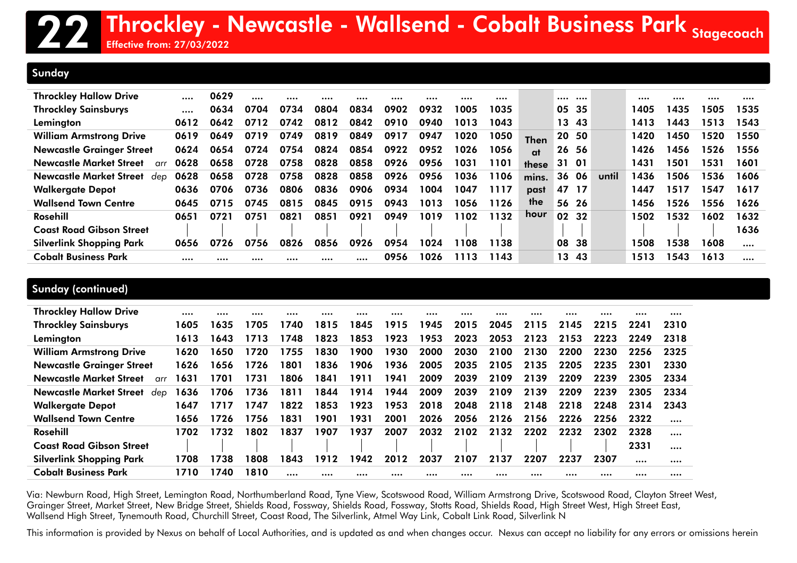#### Sunday

| <b>Throckley Hallow Drive</b>                 |      | 0629 |      |      |      |      |      |      |      |      |             |       |       |       |      |      |      |      |
|-----------------------------------------------|------|------|------|------|------|------|------|------|------|------|-------------|-------|-------|-------|------|------|------|------|
| <b>Throckley Sainsburys</b>                   |      | 0634 | 0704 | 0734 | 0804 | 0834 | 0902 | 0932 | 1005 | 1035 |             |       | 05 35 |       | 1405 | 1435 | 1505 | 1535 |
| Lemington                                     | 0612 | 0642 | 0712 | 0742 | 0812 | 0842 | 0910 | 0940 | 1013 | 1043 |             |       | 13 43 |       | 1413 | 1443 | 1513 | 1543 |
| <b>William Armstrong Drive</b>                | 0619 | 0649 | 0719 | 0749 | 0819 | 0849 | 0917 | 0947 | 1020 | 1050 | <b>Then</b> |       | 20 50 |       | 1420 | 1450 | 1520 | 1550 |
| <b>Newcastle Grainger Street</b>              | 0624 | 0654 | 0724 | 0754 | 0824 | 0854 | 0922 | 0952 | 1026 | 1056 | at          |       | 26 56 |       | 1426 | 1456 | 1526 | 1556 |
| <b>Newcastle Market Street</b><br>$\alpha$ rr | 0628 | 0658 | 0728 | 0758 | 0828 | 0858 | 0926 | 0956 | 1031 | 1101 | these       |       | 31 01 |       | 1431 | 1501 | 1531 | 1601 |
| Newcastle Market Street<br>dep                | 0628 | 0658 | 0728 | 0758 | 0828 | 0858 | 0926 | 0956 | 1036 | 1106 | mins.       | 36    | 06    | until | 1436 | 1506 | 1536 | 1606 |
| <b>Walkergate Depot</b>                       | 0636 | 0706 | 0736 | 0806 | 0836 | 0906 | 0934 | 1004 | 1047 | 1117 | past        | 47 17 |       |       | 1447 | 1517 | 1547 | 1617 |
| <b>Wallsend Town Centre</b>                   | 0645 | 0715 | 0745 | 0815 | 0845 | 0915 | 0943 | 1013 | 1056 | 1126 | the         |       | 56 26 |       | 1456 | 1526 | 1556 | 1626 |
| Rosehill                                      | 0651 | 0721 | 0751 | 0821 | 0851 | 0921 | 0949 | 1019 | 1102 | 1132 | hour        | 02 32 |       |       | 1502 | 1532 | 1602 | 1632 |
| <b>Coast Road Gibson Street</b>               |      |      |      |      |      |      |      |      |      |      |             |       |       |       |      |      |      | 1636 |
| <b>Silverlink Shopping Park</b>               | 0656 | 0726 | 0756 | 0826 | 0856 | 0926 | 0954 | 1024 | 108  | 1138 |             | 08    | 38    |       | 1508 | 1538 | 1608 |      |
| <b>Cobalt Business Park</b>                   |      |      |      |      |      |      | 0956 | 1026 | 1113 | 1143 |             | 13    | 43    |       | 1513 | 1543 | 1613 |      |

### Sunday (continued)

| <b>Throckley Hallow Drive</b>          |      |      |       |       |      |      |      |      |      |      | $\cdots$ |      |      |      |          |
|----------------------------------------|------|------|-------|-------|------|------|------|------|------|------|----------|------|------|------|----------|
| <b>Throckley Sainsburys</b>            | 1605 | 1635 | 705   | 1740. | 1815 | 1845 | 1915 | 1945 | 2015 | 2045 | 2115     | 2145 | 2215 | 2241 | 2310     |
| Lemington                              | 1613 | 1643 | 1713  | 1748  | 1823 | 1853 | 1923 | 1953 | 2023 | 2053 | 2123     | 2153 | 2223 | 2249 | 2318     |
| <b>William Armstrong Drive</b>         | 1620 | 1650 | 1720  | 1755  | 1830 | 1900 | 1930 | 2000 | 2030 | 2100 | 2130     | 2200 | 2230 | 2256 | 2325     |
| <b>Newcastle Grainger Street</b>       | 1626 | 1656 | 1726  | 1801  | 1836 | 1906 | 1936 | 2005 | 2035 | 2105 | 2135     | 2205 | 2235 | 2301 | 2330     |
| Newcastle Market Street<br>$\alpha$ rr | 1631 | 1701 | 1731  | 1806  | 1841 | 1911 | 1941 | 2009 | 2039 | 2109 | 2139     | 2209 | 2239 | 2305 | 2334     |
| Newcastle Market Street<br>dep         | 1636 | 1706 | 1736  | 1811  | 1844 | 1914 | 1944 | 2009 | 2039 | 2109 | 2139     | 2209 | 2239 | 2305 | 2334     |
| <b>Walkergate Depot</b>                | 1647 | 1717 | 747   | 1822  | 1853 | 1923 | 1953 | 2018 | 2048 | 2118 | 2148     | 2218 | 2248 | 2314 | 2343     |
| <b>Wallsend Town Centre</b>            | 1656 | 1726 | 1756  | 1831  | 1901 | 1931 | 2001 | 2026 | 2056 | 2126 | 2156     | 2226 | 2256 | 2322 | $\cdots$ |
| Rosehill                               | 1702 | 1732 | 802 ا | 1837  | 1907 | 1937 | 2007 | 2032 | 2102 | 2132 | 2202     | 2232 | 2302 | 2328 |          |
| <b>Coast Road Gibson Street</b>        |      |      |       |       |      |      |      |      |      |      |          |      |      | 2331 |          |
| <b>Silverlink Shopping Park</b>        | 1708 | 1738 | 808   | 1843  | 1912 | 1942 | 2012 | 2037 | 2107 | 2137 | 2207     | 2237 | 2307 |      |          |
| <b>Cobalt Business Park</b>            | 1710 | 1740 | 1810  |       |      |      |      |      |      |      |          |      |      |      |          |

Via: Newburn Road, High Street, Lemington Road, Northumberland Road, Tyne View, Scotswood Road, William Armstrong Drive, Scotswood Road, Clayton Street West, Grainger Street, Market Street, New Bridge Street, Shields Road, Fossway, Shields Road, Fossway, Stotts Road, Shields Road, High Street West, High Street East, Wallsend High Street, Tynemouth Road, Churchill Street, Coast Road, The Silverlink, Atmel Way Link, Cobalt Link Road, Silverlink N

This information is provided by Nexus on behalf of Local Authorities, and is updated as and when changes occur. Nexus can accept no liability for any errors or omissions herein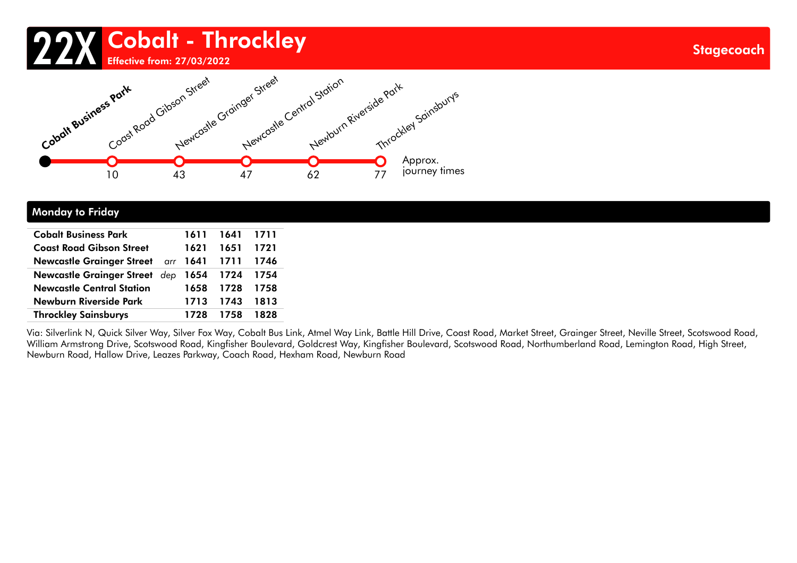# 22X Cobalt - Throckley



#### Monday to Friday

| <b>Cobalt Business Park</b>             | 1611      | 1641 1711 |        |
|-----------------------------------------|-----------|-----------|--------|
| <b>Coast Road Gibson Street</b>         | 1621      | 1651      | - 1721 |
| Newcastle Grainger Street arr 1641 1711 |           |           | 1746   |
| Newcastle Grainger Street dep 1654 1724 |           |           | 1754   |
| <b>Newcastle Central Station</b>        | 1658      | 1728      | - 1758 |
| Newburn Riverside Park                  | 1713 1743 |           | - 1813 |
| <b>Throckley Sainsburys</b>             | 1728      | 1758      | 1828   |

Via: Silverlink N, Quick Silver Way, Silver Fox Way, Cobalt Bus Link, Atmel Way Link, Battle Hill Drive, Coast Road, Market Street, Grainger Street, Neville Street, Scotswood Road, William Armstrong Drive, Scotswood Road, Kingfisher Boulevard, Goldcrest Way, Kingfisher Boulevard, Scotswood Road, Northumberland Road, Lemington Road, High Street, Newburn Road, Hallow Drive, Leazes Parkway, Coach Road, Hexham Road, Newburn Road